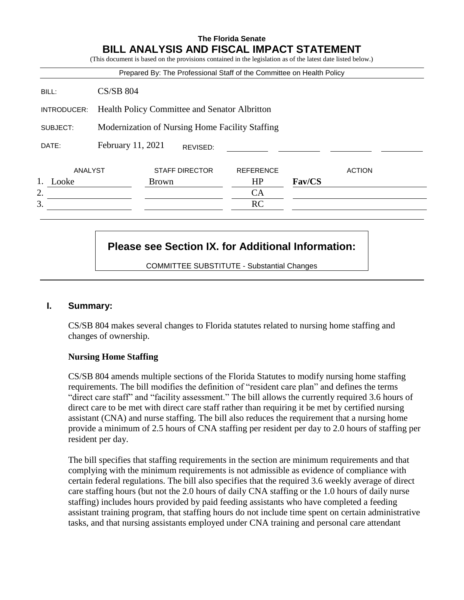### **The Florida Senate BILL ANALYSIS AND FISCAL IMPACT STATEMENT**

|             |                                                 | Prepared By: The Professional Staff of the Committee on Health Policy |                  |        |               |
|-------------|-------------------------------------------------|-----------------------------------------------------------------------|------------------|--------|---------------|
| BILL:       | $CS/SB$ 804                                     |                                                                       |                  |        |               |
| INTRODUCER: | Health Policy Committee and Senator Albritton   |                                                                       |                  |        |               |
| SUBJECT:    | Modernization of Nursing Home Facility Staffing |                                                                       |                  |        |               |
| DATE:       | February 11, 2021                               | REVISED:                                                              |                  |        |               |
| ANALYST     |                                                 | <b>STAFF DIRECTOR</b>                                                 | <b>REFERENCE</b> |        | <b>ACTION</b> |
| 1.<br>Looke |                                                 | <b>Brown</b>                                                          | HP               | Fav/CS |               |
| 2.          |                                                 |                                                                       | CA               |        |               |
| 3.          |                                                 |                                                                       | RC               |        |               |

## **Please see Section IX. for Additional Information:**

COMMITTEE SUBSTITUTE - Substantial Changes

### **I. Summary:**

CS/SB 804 makes several changes to Florida statutes related to nursing home staffing and changes of ownership.

### **Nursing Home Staffing**

CS/SB 804 amends multiple sections of the Florida Statutes to modify nursing home staffing requirements. The bill modifies the definition of "resident care plan" and defines the terms "direct care staff" and "facility assessment." The bill allows the currently required 3.6 hours of direct care to be met with direct care staff rather than requiring it be met by certified nursing assistant (CNA) and nurse staffing. The bill also reduces the requirement that a nursing home provide a minimum of 2.5 hours of CNA staffing per resident per day to 2.0 hours of staffing per resident per day.

The bill specifies that staffing requirements in the section are minimum requirements and that complying with the minimum requirements is not admissible as evidence of compliance with certain federal regulations. The bill also specifies that the required 3.6 weekly average of direct care staffing hours (but not the 2.0 hours of daily CNA staffing or the 1.0 hours of daily nurse staffing) includes hours provided by paid feeding assistants who have completed a feeding assistant training program, that staffing hours do not include time spent on certain administrative tasks, and that nursing assistants employed under CNA training and personal care attendant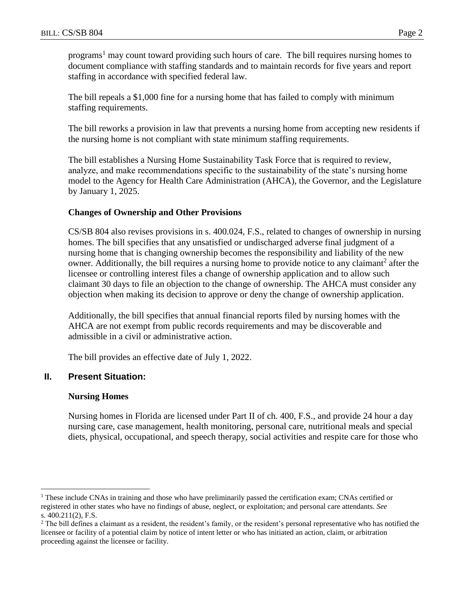programs<sup>1</sup> may count toward providing such hours of care. The bill requires nursing homes to document compliance with staffing standards and to maintain records for five years and report staffing in accordance with specified federal law.

The bill repeals a \$1,000 fine for a nursing home that has failed to comply with minimum staffing requirements.

The bill reworks a provision in law that prevents a nursing home from accepting new residents if the nursing home is not compliant with state minimum staffing requirements.

The bill establishes a Nursing Home Sustainability Task Force that is required to review, analyze, and make recommendations specific to the sustainability of the state's nursing home model to the Agency for Health Care Administration (AHCA), the Governor, and the Legislature by January 1, 2025.

### **Changes of Ownership and Other Provisions**

CS/SB 804 also revises provisions in s. 400.024, F.S., related to changes of ownership in nursing homes. The bill specifies that any unsatisfied or undischarged adverse final judgment of a nursing home that is changing ownership becomes the responsibility and liability of the new owner. Additionally, the bill requires a nursing home to provide notice to any claimant<sup>2</sup> after the licensee or controlling interest files a change of ownership application and to allow such claimant 30 days to file an objection to the change of ownership. The AHCA must consider any objection when making its decision to approve or deny the change of ownership application.

Additionally, the bill specifies that annual financial reports filed by nursing homes with the AHCA are not exempt from public records requirements and may be discoverable and admissible in a civil or administrative action.

The bill provides an effective date of July 1, 2022.

### **II. Present Situation:**

#### **Nursing Homes**

 $\overline{a}$ 

Nursing homes in Florida are licensed under Part II of ch. 400, F.S., and provide 24 hour a day nursing care, case management, health monitoring, personal care, nutritional meals and special diets, physical, occupational, and speech therapy, social activities and respite care for those who

<sup>&</sup>lt;sup>1</sup> These include CNAs in training and those who have preliminarily passed the certification exam; CNAs certified or registered in other states who have no findings of abuse, neglect, or exploitation; and personal care attendants. *See*  s. 400.211(2), F.S.

<sup>&</sup>lt;sup>2</sup> The bill defines a claimant as a resident, the resident's family, or the resident's personal representative who has notified the licensee or facility of a potential claim by notice of intent letter or who has initiated an action, claim, or arbitration proceeding against the licensee or facility.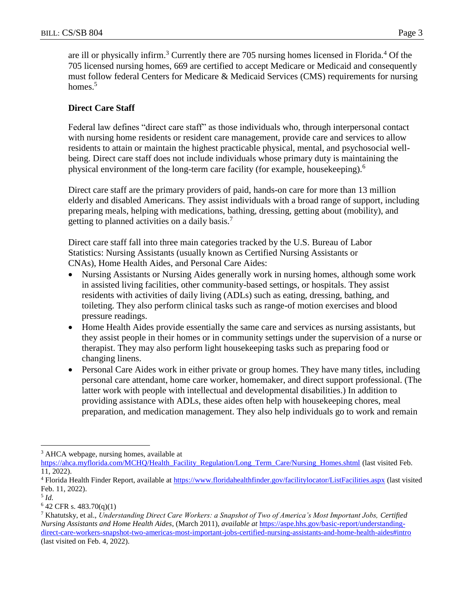are ill or physically infirm.<sup>3</sup> Currently there are 705 nursing homes licensed in Florida.<sup>4</sup> Of the 705 licensed nursing homes, 669 are certified to accept Medicare or Medicaid and consequently must follow federal Centers for Medicare & Medicaid Services (CMS) requirements for nursing homes.<sup>5</sup>

### **Direct Care Staff**

Federal law defines "direct care staff" as those individuals who, through interpersonal contact with nursing home residents or resident care management, provide care and services to allow residents to attain or maintain the highest practicable physical, mental, and psychosocial wellbeing. Direct care staff does not include individuals whose primary duty is maintaining the physical environment of the long-term care facility (for example, housekeeping). 6

Direct care staff are the primary providers of paid, hands-on care for more than 13 million elderly and disabled Americans. They assist individuals with a broad range of support, including preparing meals, helping with medications, bathing, dressing, getting about (mobility), and getting to planned activities on a daily basis.<sup>7</sup>

Direct care staff fall into three main categories tracked by the U.S. Bureau of Labor Statistics: Nursing Assistants (usually known as Certified Nursing Assistants or CNAs), Home Health Aides, and Personal Care Aides:

- Nursing Assistants or Nursing Aides generally work in nursing homes, although some work in assisted living facilities, other community-based settings, or hospitals. They assist residents with activities of daily living (ADLs) such as eating, dressing, bathing, and toileting. They also perform clinical tasks such as range-of motion exercises and blood pressure readings.
- Home Health Aides provide essentially the same care and services as nursing assistants, but they assist people in their homes or in community settings under the supervision of a nurse or therapist. They may also perform light housekeeping tasks such as preparing food or changing linens.
- Personal Care Aides work in either private or group homes. They have many titles, including personal care attendant, home care worker, homemaker, and direct support professional. (The latter work with people with intellectual and developmental disabilities.) In addition to providing assistance with ADLs, these aides often help with housekeeping chores, meal preparation, and medication management. They also help individuals go to work and remain

<sup>&</sup>lt;sup>3</sup> AHCA webpage, nursing homes, available at

[https://ahca.myflorida.com/MCHQ/Health\\_Facility\\_Regulation/Long\\_Term\\_Care/Nursing\\_Homes.shtml](https://ahca.myflorida.com/MCHQ/Health_Facility_Regulation/Long_Term_Care/Nursing_Homes.shtml) (last visited Feb. 11, 2022).

<sup>4</sup> Florida Health Finder Report, available at<https://www.floridahealthfinder.gov/facilitylocator/ListFacilities.aspx> (last visited Feb. 11, 2022).

<sup>5</sup> *Id.*

 $6$  42 CFR s. 483.70(q)(1)

<sup>7</sup> Khatutsky, et al., *Understanding Direct Care Workers: a Snapshot of Two of America's Most Important Jobs, Certified Nursing Assistants and Home Health Aides*, (March 2011), *available at* [https://aspe.hhs.gov/basic-report/understanding](https://aspe.hhs.gov/basic-report/understanding-direct-care-workers-snapshot-two-americas-most-important-jobs-certified-nursing-assistants-and-home-health-aides#intro)[direct-care-workers-snapshot-two-americas-most-important-jobs-certified-nursing-assistants-and-home-health-aides#intro](https://aspe.hhs.gov/basic-report/understanding-direct-care-workers-snapshot-two-americas-most-important-jobs-certified-nursing-assistants-and-home-health-aides#intro) (last visited on Feb. 4, 2022).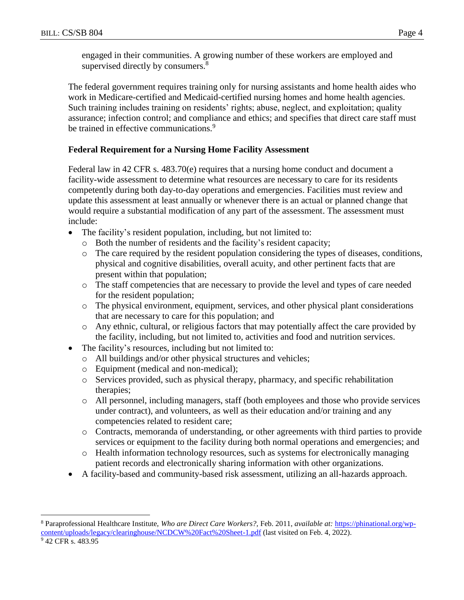engaged in their communities. A growing number of these workers are employed and supervised directly by consumers.<sup>8</sup>

The federal government requires training only for nursing assistants and home health aides who work in Medicare-certified and Medicaid-certified nursing homes and home health agencies. Such training includes training on residents' rights; abuse, neglect, and exploitation; quality assurance; infection control; and compliance and ethics; and specifies that direct care staff must be trained in effective communications.<sup>9</sup>

### **Federal Requirement for a Nursing Home Facility Assessment**

Federal law in 42 CFR s. 483.70(e) requires that a nursing home conduct and document a facility-wide assessment to determine what resources are necessary to care for its residents competently during both day-to-day operations and emergencies. Facilities must review and update this assessment at least annually or whenever there is an actual or planned change that would require a substantial modification of any part of the assessment. The assessment must include:

- The facility's resident population, including, but not limited to:
	- o Both the number of residents and the facility's resident capacity;
	- o The care required by the resident population considering the types of diseases, conditions, physical and cognitive disabilities, overall acuity, and other pertinent facts that are present within that population;
	- o The staff competencies that are necessary to provide the level and types of care needed for the resident population;
	- o The physical environment, equipment, services, and other physical plant considerations that are necessary to care for this population; and
	- o Any ethnic, cultural, or religious factors that may potentially affect the care provided by the facility, including, but not limited to, activities and food and nutrition services.
- The facility's resources, including but not limited to:
	- o All buildings and/or other physical structures and vehicles;
	- o Equipment (medical and non-medical);
	- o Services provided, such as physical therapy, pharmacy, and specific rehabilitation therapies;
	- o All personnel, including managers, staff (both employees and those who provide services under contract), and volunteers, as well as their education and/or training and any competencies related to resident care;
	- o Contracts, memoranda of understanding, or other agreements with third parties to provide services or equipment to the facility during both normal operations and emergencies; and
	- o Health information technology resources, such as systems for electronically managing patient records and electronically sharing information with other organizations.
- A facility-based and community-based risk assessment, utilizing an all-hazards approach.

<sup>8</sup> Paraprofessional Healthcare Institute, *Who are Direct Care Workers?,* Feb. 2011, *available at:* [https://phinational.org/wp](https://phinational.org/wp-content/uploads/legacy/clearinghouse/NCDCW%20Fact%20Sheet-1.pdf)[content/uploads/legacy/clearinghouse/NCDCW%20Fact%20Sheet-1.pdf](https://phinational.org/wp-content/uploads/legacy/clearinghouse/NCDCW%20Fact%20Sheet-1.pdf) (last visited on Feb. 4, 2022).

<sup>&</sup>lt;sup>9</sup> 42 CFR s. 483.95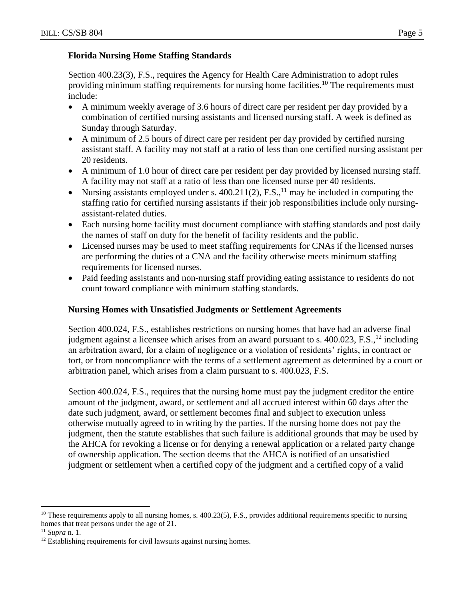### **Florida Nursing Home Staffing Standards**

Section 400.23(3), F.S., requires the Agency for Health Care Administration to adopt rules providing minimum staffing requirements for nursing home facilities.<sup>10</sup> The requirements must include:

- A minimum weekly average of 3.6 hours of direct care per resident per day provided by a combination of certified nursing assistants and licensed nursing staff. A week is defined as Sunday through Saturday.
- A minimum of 2.5 hours of direct care per resident per day provided by certified nursing assistant staff. A facility may not staff at a ratio of less than one certified nursing assistant per 20 residents.
- A minimum of 1.0 hour of direct care per resident per day provided by licensed nursing staff. A facility may not staff at a ratio of less than one licensed nurse per 40 residents.
- Nursing assistants employed under s.  $400.211(2)$ , F.S., <sup>11</sup> may be included in computing the staffing ratio for certified nursing assistants if their job responsibilities include only nursingassistant-related duties.
- Each nursing home facility must document compliance with staffing standards and post daily the names of staff on duty for the benefit of facility residents and the public.
- Licensed nurses may be used to meet staffing requirements for CNAs if the licensed nurses are performing the duties of a CNA and the facility otherwise meets minimum staffing requirements for licensed nurses.
- Paid feeding assistants and non-nursing staff providing eating assistance to residents do not count toward compliance with minimum staffing standards.

### **Nursing Homes with Unsatisfied Judgments or Settlement Agreements**

Section 400.024, F.S., establishes restrictions on nursing homes that have had an adverse final judgment against a licensee which arises from an award pursuant to s.  $400.023$ , F.S., <sup>12</sup> including an arbitration award, for a claim of negligence or a violation of residents' rights, in contract or tort, or from noncompliance with the terms of a settlement agreement as determined by a court or arbitration panel, which arises from a claim pursuant to s. 400.023, F.S.

Section 400.024, F.S., requires that the nursing home must pay the judgment creditor the entire amount of the judgment, award, or settlement and all accrued interest within 60 days after the date such judgment, award, or settlement becomes final and subject to execution unless otherwise mutually agreed to in writing by the parties. If the nursing home does not pay the judgment, then the statute establishes that such failure is additional grounds that may be used by the AHCA for revoking a license or for denying a renewal application or a related party change of ownership application. The section deems that the AHCA is notified of an unsatisfied judgment or settlement when a certified copy of the judgment and a certified copy of a valid

 $10$  These requirements apply to all nursing homes, s. 400.23(5), F.S., provides additional requirements specific to nursing homes that treat persons under the age of 21.

<sup>11</sup> *Supra* n. 1.

<sup>&</sup>lt;sup>12</sup> Establishing requirements for civil lawsuits against nursing homes.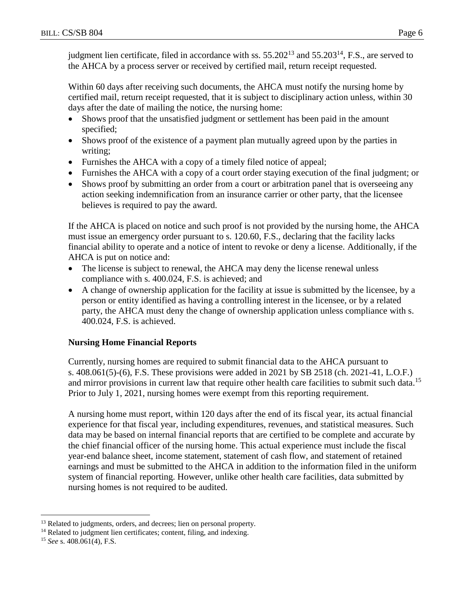judgment lien certificate, filed in accordance with ss.  $55.202^{13}$  and  $55.203^{14}$ , F.S., are served to the AHCA by a process server or received by certified mail, return receipt requested.

Within 60 days after receiving such documents, the AHCA must notify the nursing home by certified mail, return receipt requested, that it is subject to disciplinary action unless, within 30 days after the date of mailing the notice, the nursing home:

- Shows proof that the unsatisfied judgment or settlement has been paid in the amount specified;
- Shows proof of the existence of a payment plan mutually agreed upon by the parties in writing;
- Furnishes the AHCA with a copy of a timely filed notice of appeal;
- Furnishes the AHCA with a copy of a court order staying execution of the final judgment; or
- Shows proof by submitting an order from a court or arbitration panel that is overseeing any action seeking indemnification from an insurance carrier or other party, that the licensee believes is required to pay the award.

If the AHCA is placed on notice and such proof is not provided by the nursing home, the AHCA must issue an emergency order pursuant to s. 120.60, F.S., declaring that the facility lacks financial ability to operate and a notice of intent to revoke or deny a license. Additionally, if the AHCA is put on notice and:

- The license is subject to renewal, the AHCA may deny the license renewal unless compliance with s. 400.024, F.S. is achieved; and
- A change of ownership application for the facility at issue is submitted by the licensee, by a person or entity identified as having a controlling interest in the licensee, or by a related party, the AHCA must deny the change of ownership application unless compliance with s. 400.024, F.S. is achieved.

### **Nursing Home Financial Reports**

Currently, nursing homes are required to submit financial data to the AHCA pursuant to s. 408.061(5)-(6), F.S. These provisions were added in 2021 by SB 2518 (ch. 2021-41, L.O.F.) and mirror provisions in current law that require other health care facilities to submit such data.<sup>15</sup> Prior to July 1, 2021, nursing homes were exempt from this reporting requirement.

A nursing home must report, within 120 days after the end of its fiscal year, its actual financial experience for that fiscal year, including expenditures, revenues, and statistical measures. Such data may be based on internal financial reports that are certified to be complete and accurate by the chief financial officer of the nursing home. This actual experience must include the fiscal year-end balance sheet, income statement, statement of cash flow, and statement of retained earnings and must be submitted to the AHCA in addition to the information filed in the uniform system of financial reporting. However, unlike other health care facilities, data submitted by nursing homes is not required to be audited.

 $\overline{a}$ <sup>13</sup> Related to judgments, orders, and decrees; lien on personal property.

<sup>&</sup>lt;sup>14</sup> Related to judgment lien certificates; content, filing, and indexing.

<sup>15</sup> *See* s. 408.061(4), F.S.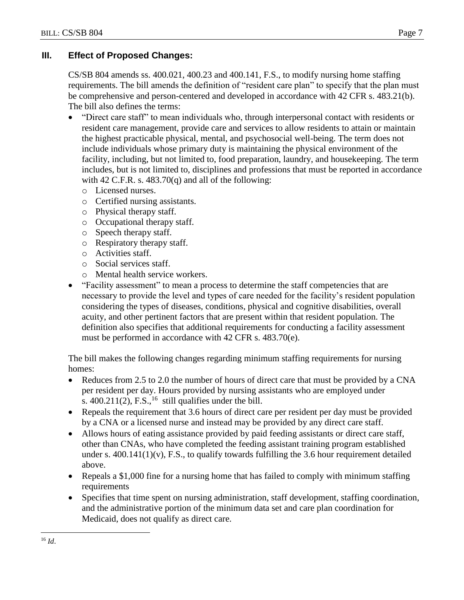### **III. Effect of Proposed Changes:**

CS/SB 804 amends ss. 400.021, 400.23 and 400.141, F.S., to modify nursing home staffing requirements. The bill amends the definition of "resident care plan" to specify that the plan must be comprehensive and person-centered and developed in accordance with 42 CFR s. 483.21(b). The bill also defines the terms:

- "Direct care staff" to mean individuals who, through interpersonal contact with residents or resident care management, provide care and services to allow residents to attain or maintain the highest practicable physical, mental, and psychosocial well-being. The term does not include individuals whose primary duty is maintaining the physical environment of the facility, including, but not limited to, food preparation, laundry, and housekeeping. The term includes, but is not limited to, disciplines and professions that must be reported in accordance with 42 C.F.R. s.  $483.70(q)$  and all of the following:
	- o Licensed nurses.
	- o Certified nursing assistants.
	- o Physical therapy staff.
	- o Occupational therapy staff.
	- o Speech therapy staff.
	- o Respiratory therapy staff.
	- o Activities staff.
	- o Social services staff.
	- o Mental health service workers.
- "Facility assessment" to mean a process to determine the staff competencies that are necessary to provide the level and types of care needed for the facility's resident population considering the types of diseases, conditions, physical and cognitive disabilities, overall acuity, and other pertinent factors that are present within that resident population. The definition also specifies that additional requirements for conducting a facility assessment must be performed in accordance with 42 CFR s. 483.70(e).

The bill makes the following changes regarding minimum staffing requirements for nursing homes:

- Reduces from 2.5 to 2.0 the number of hours of direct care that must be provided by a CNA per resident per day. Hours provided by nursing assistants who are employed under s.  $400.211(2)$ , F.S., <sup>16</sup> still qualifies under the bill.
- Repeals the requirement that 3.6 hours of direct care per resident per day must be provided by a CNA or a licensed nurse and instead may be provided by any direct care staff.
- Allows hours of eating assistance provided by paid feeding assistants or direct care staff, other than CNAs, who have completed the feeding assistant training program established under s.  $400.141(1)(v)$ , F.S., to qualify towards fulfilling the 3.6 hour requirement detailed above.
- Repeals a \$1,000 fine for a nursing home that has failed to comply with minimum staffing requirements
- Specifies that time spent on nursing administration, staff development, staffing coordination, and the administrative portion of the minimum data set and care plan coordination for Medicaid, does not qualify as direct care.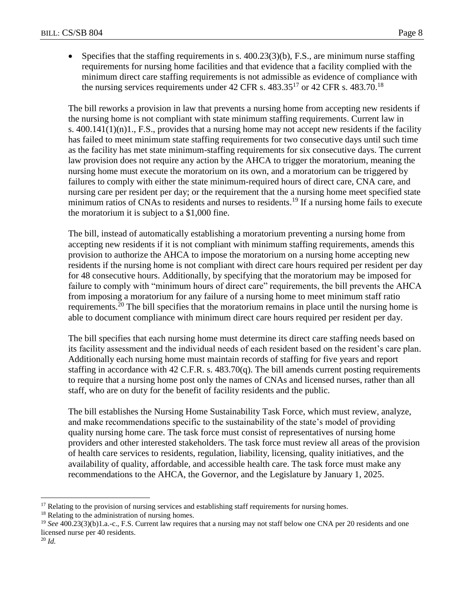• Specifies that the staffing requirements in s.  $400.23(3)(b)$ , F.S., are minimum nurse staffing requirements for nursing home facilities and that evidence that a facility complied with the minimum direct care staffing requirements is not admissible as evidence of compliance with the nursing services requirements under 42 CFR s.  $483.35^{17}$  or 42 CFR s.  $483.70^{18}$ 

The bill reworks a provision in law that prevents a nursing home from accepting new residents if the nursing home is not compliant with state minimum staffing requirements. Current law in s.  $400.141(1)(n)1$ , F.S., provides that a nursing home may not accept new residents if the facility has failed to meet minimum state staffing requirements for two consecutive days until such time as the facility has met state minimum-staffing requirements for six consecutive days. The current law provision does not require any action by the AHCA to trigger the moratorium, meaning the nursing home must execute the moratorium on its own, and a moratorium can be triggered by failures to comply with either the state minimum-required hours of direct care, CNA care, and nursing care per resident per day; or the requirement that the a nursing home meet specified state minimum ratios of CNAs to residents and nurses to residents.<sup>19</sup> If a nursing home fails to execute the moratorium it is subject to a \$1,000 fine.

The bill, instead of automatically establishing a moratorium preventing a nursing home from accepting new residents if it is not compliant with minimum staffing requirements, amends this provision to authorize the AHCA to impose the moratorium on a nursing home accepting new residents if the nursing home is not compliant with direct care hours required per resident per day for 48 consecutive hours. Additionally, by specifying that the moratorium may be imposed for failure to comply with "minimum hours of direct care" requirements, the bill prevents the AHCA from imposing a moratorium for any failure of a nursing home to meet minimum staff ratio requirements.<sup>20</sup> The bill specifies that the moratorium remains in place until the nursing home is able to document compliance with minimum direct care hours required per resident per day.

The bill specifies that each nursing home must determine its direct care staffing needs based on its facility assessment and the individual needs of each resident based on the resident's care plan. Additionally each nursing home must maintain records of staffing for five years and report staffing in accordance with 42 C.F.R. s. 483.70(q). The bill amends current posting requirements to require that a nursing home post only the names of CNAs and licensed nurses, rather than all staff, who are on duty for the benefit of facility residents and the public.

The bill establishes the Nursing Home Sustainability Task Force, which must review, analyze, and make recommendations specific to the sustainability of the state's model of providing quality nursing home care. The task force must consist of representatives of nursing home providers and other interested stakeholders. The task force must review all areas of the provision of health care services to residents, regulation, liability, licensing, quality initiatives, and the availability of quality, affordable, and accessible health care. The task force must make any recommendations to the AHCA, the Governor, and the Legislature by January 1, 2025.

<sup>&</sup>lt;sup>17</sup> Relating to the provision of nursing services and establishing staff requirements for nursing homes.

<sup>&</sup>lt;sup>18</sup> Relating to the administration of nursing homes.

<sup>&</sup>lt;sup>19</sup> See 400.23(3)(b)1.a.-c., F.S. Current law requires that a nursing may not staff below one CNA per 20 residents and one licensed nurse per 40 residents.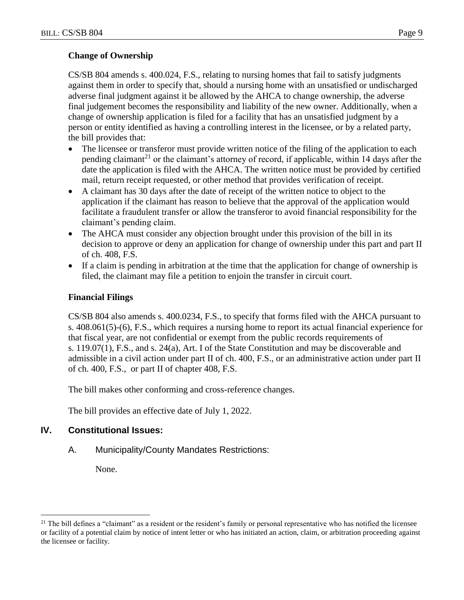# **Change of Ownership**

CS/SB 804 amends s. 400.024, F.S., relating to nursing homes that fail to satisfy judgments against them in order to specify that, should a nursing home with an unsatisfied or undischarged adverse final judgment against it be allowed by the AHCA to change ownership, the adverse final judgement becomes the responsibility and liability of the new owner. Additionally, when a change of ownership application is filed for a facility that has an unsatisfied judgment by a person or entity identified as having a controlling interest in the licensee, or by a related party, the bill provides that:

- The licensee or transferor must provide written notice of the filing of the application to each pending claimant<sup>21</sup> or the claimant's attorney of record, if applicable, within 14 days after the date the application is filed with the AHCA. The written notice must be provided by certified mail, return receipt requested, or other method that provides verification of receipt.
- A claimant has 30 days after the date of receipt of the written notice to object to the application if the claimant has reason to believe that the approval of the application would facilitate a fraudulent transfer or allow the transferor to avoid financial responsibility for the claimant's pending claim.
- The AHCA must consider any objection brought under this provision of the bill in its decision to approve or deny an application for change of ownership under this part and part II of ch. 408, F.S.
- If a claim is pending in arbitration at the time that the application for change of ownership is filed, the claimant may file a petition to enjoin the transfer in circuit court.

### **Financial Filings**

CS/SB 804 also amends s. 400.0234, F.S., to specify that forms filed with the AHCA pursuant to s. 408.061(5)-(6), F.S., which requires a nursing home to report its actual financial experience for that fiscal year, are not confidential or exempt from the public records requirements of s. 119.07(1), F.S., and s. 24(a), Art. I of the State Constitution and may be discoverable and admissible in a civil action under part II of ch. 400, F.S., or an administrative action under part II of ch. 400, F.S., or part II of chapter 408, F.S.

The bill makes other conforming and cross-reference changes.

The bill provides an effective date of July 1, 2022.

### **IV. Constitutional Issues:**

#### A. Municipality/County Mandates Restrictions:

None.

 $21$  The bill defines a "claimant" as a resident or the resident's family or personal representative who has notified the licensee or facility of a potential claim by notice of intent letter or who has initiated an action, claim, or arbitration proceeding against the licensee or facility.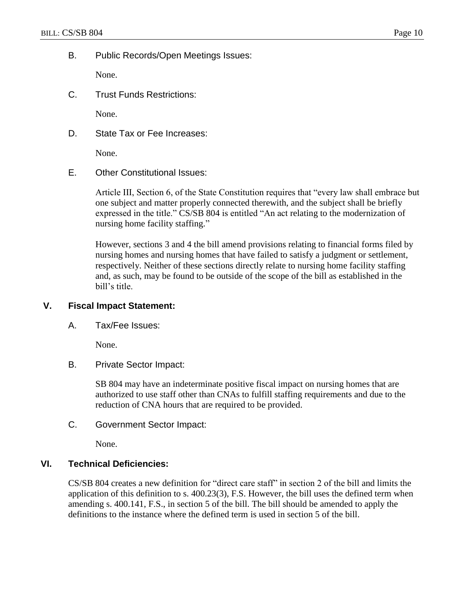B. Public Records/Open Meetings Issues:

None.

C. Trust Funds Restrictions:

None.

D. State Tax or Fee Increases:

None.

E. Other Constitutional Issues:

Article III, Section 6, of the State Constitution requires that "every law shall embrace but one subject and matter properly connected therewith, and the subject shall be briefly expressed in the title." CS/SB 804 is entitled "An act relating to the modernization of nursing home facility staffing."

However, sections 3 and 4 the bill amend provisions relating to financial forms filed by nursing homes and nursing homes that have failed to satisfy a judgment or settlement, respectively. Neither of these sections directly relate to nursing home facility staffing and, as such, may be found to be outside of the scope of the bill as established in the bill's title.

### **V. Fiscal Impact Statement:**

A. Tax/Fee Issues:

None.

B. Private Sector Impact:

SB 804 may have an indeterminate positive fiscal impact on nursing homes that are authorized to use staff other than CNAs to fulfill staffing requirements and due to the reduction of CNA hours that are required to be provided.

C. Government Sector Impact:

None.

### **VI. Technical Deficiencies:**

CS/SB 804 creates a new definition for "direct care staff" in section 2 of the bill and limits the application of this definition to s. 400.23(3), F.S. However, the bill uses the defined term when amending s. 400.141, F.S., in section 5 of the bill. The bill should be amended to apply the definitions to the instance where the defined term is used in section 5 of the bill.